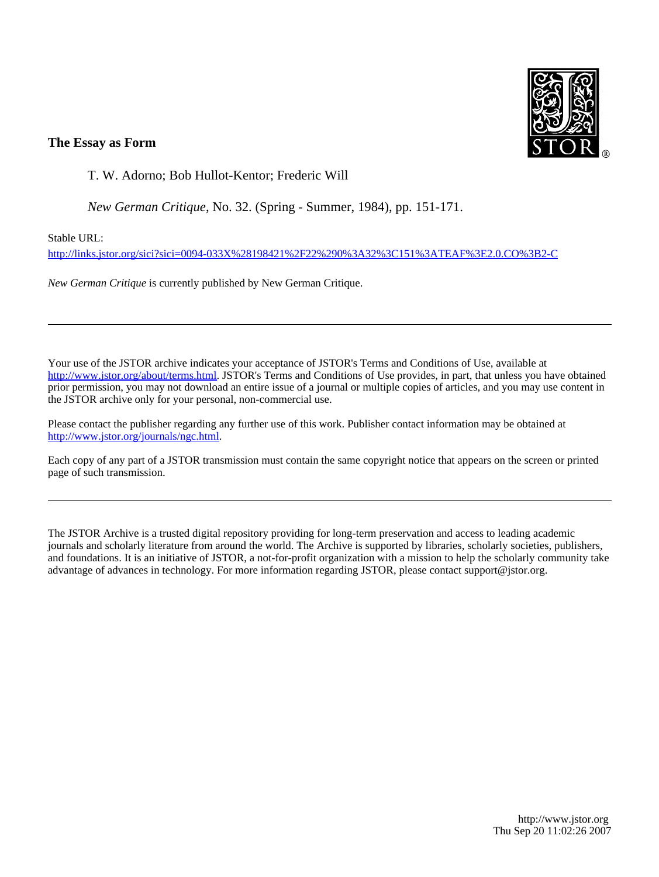

## **The Essay as Form**

T. W. Adorno; Bob Hullot-Kentor; Frederic Will

*New German Critique*, No. 32. (Spring - Summer, 1984), pp. 151-171.

Stable URL:

<http://links.jstor.org/sici?sici=0094-033X%28198421%2F22%290%3A32%3C151%3ATEAF%3E2.0.CO%3B2-C>

*New German Critique* is currently published by New German Critique.

Your use of the JSTOR archive indicates your acceptance of JSTOR's Terms and Conditions of Use, available at [http://www.jstor.org/about/terms.html.](http://www.jstor.org/about/terms.html) JSTOR's Terms and Conditions of Use provides, in part, that unless you have obtained prior permission, you may not download an entire issue of a journal or multiple copies of articles, and you may use content in the JSTOR archive only for your personal, non-commercial use.

Please contact the publisher regarding any further use of this work. Publisher contact information may be obtained at [http://www.jstor.org/journals/ngc.html.](http://www.jstor.org/journals/ngc.html)

Each copy of any part of a JSTOR transmission must contain the same copyright notice that appears on the screen or printed page of such transmission.

The JSTOR Archive is a trusted digital repository providing for long-term preservation and access to leading academic journals and scholarly literature from around the world. The Archive is supported by libraries, scholarly societies, publishers, and foundations. It is an initiative of JSTOR, a not-for-profit organization with a mission to help the scholarly community take advantage of advances in technology. For more information regarding JSTOR, please contact support@jstor.org.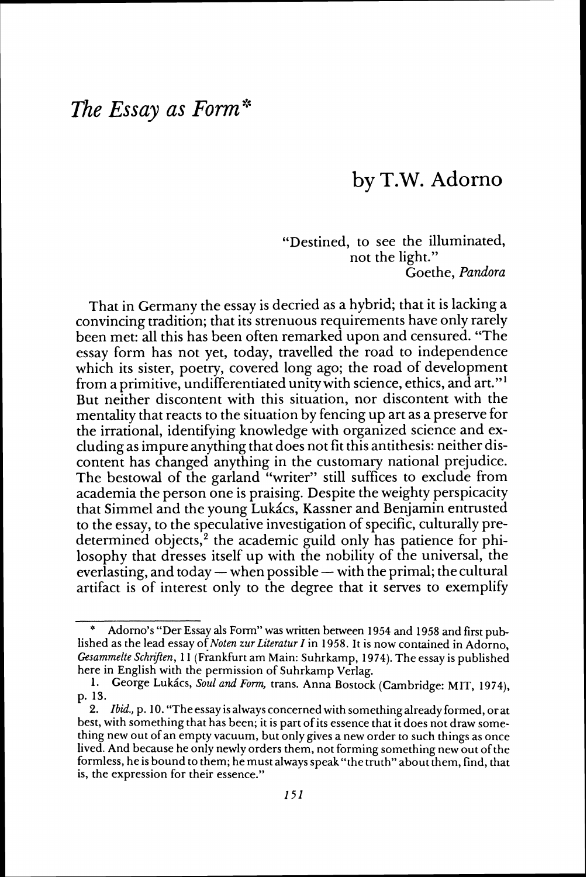## *The Essay as Form* \*

## by T.W. Adorno

"Destined, to see the illuminated, not the light." Goethe, Pandora

That in Germany the essay is decried as a hybrid; that it is lacking a convincing tradition; that its strenuous requirements have only rarely been met: all this has been often remarked upon and censured. "The essay form has not yet, today, travelled the road to independence which its sister, poetry, covered long ago; the road of development from aprimitive, undifferentiated unitywith science, ethics, and art."' But neither discontent with this situation, nor discontent with the mentality that reacts to the situation by fencing up art as a preserve for the irrational, identifying knowledge with organized science and excludingas impure anything that does not fit this antithesis: neither discontent has changed anything in the customary national prejudice. The bestowal of the garland "writer" still suffices to exclude from academia the person one is praising. Despite the weighty perspicacity that Simmel and the young Lukics, Kassner and Benjamin entrusted to the essay, to the speculative investigation of specific, culturally predetermined objects, $2$  the academic guild only has patience for philosophy that dresses itself up with the nobility of the universal, the everlasting, and today  $-$  when possible  $-$  with the primal; the cultural artifact is of interest only to the degree that it serves to exemplify

<sup>\*</sup> Adorno's "Der Essay als Form" was written between **1954** and **1958** and first published as the lead essay of *Noten zur Literatur I* in 1958. It is now contained in Adorno, *Gesammelte Schriften, 11 (Frankfurt am Main: Suhrkamp, 1974). The essay is published* here in English with the permission of Suhrkamp Verlag.

<sup>1.</sup> George Lukács, *Soul and Form*, *trans. Anna Bostock (Cambridge: MIT, 1974)*, **p. 13.** 

**<sup>2.</sup> Ibid.,**p. **10.** "The essay isalways concerned with something already formed, orat best, with something that has been; it is part of its essence that it does not draw something new out of an empty vacuum, but only gives a new order to such things as once lived. And because he only newly orders them, not forming something new out of the formless, he is bound to them; he must always speak "the truth" about them, find, that is, the expression for their essence."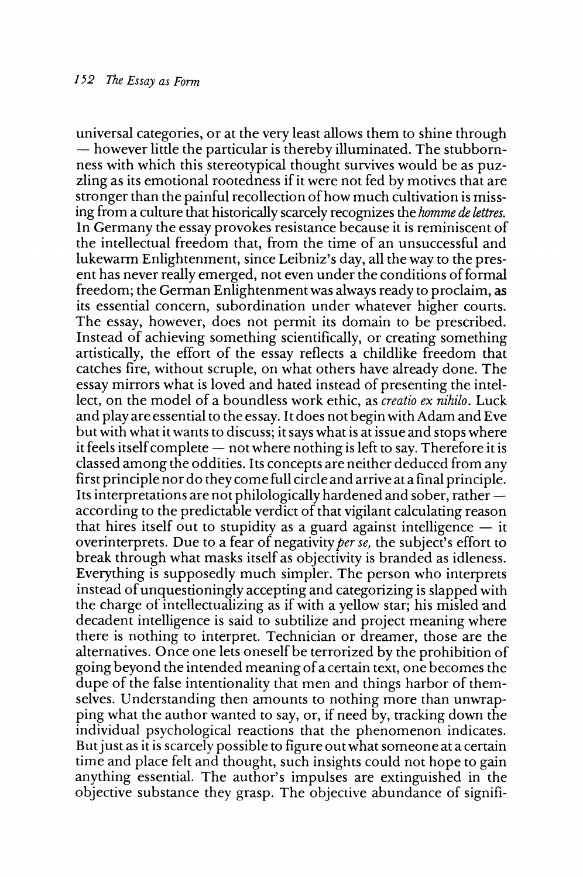universal categories, or at the very least allows them to shine through - however little the particular is thereby illuminated. The stubbornness with which this stereotypical thought survives would be as puzzling as its emotional rootedness if it were not fed by motives that are stronger than the painful recollection of how much cultivation is missing from a culture that historically scarcely recognizes the *homme de lettres.*  In Germany the essay provokes resistance because it is reminiscent of the intellectual freedom that, from the time of an unsuccessful and lukewarm Enlightenment, since Leibniz's day, all the way to the present has never really emerged, not even under the conditions of formal freedom; the German Enlightenment was always ready to proclaim, as its essential concern, subordination under whatever higher courts. The essay, however, does not permit its domain to be prescribed. Instead of achieving something scientifically, or creating something artistically, the effort of the essay reflects a childlike freedom that catches fire, without scruple, on what others have already done. The essay mirrors what is loved and hated instead of presenting the intellect, on the model of a boundless work ethic, as creatio ex nihilo. Luck and play are essential to the essay. It does not begin with Adam and Eve and play are essentiatio the essay. It does not begin with ridam and Eve<br>but with what it wants to discuss; it says what is at issue and stops where<br>it feels itself complete — not where nothing is left to say. Therefore it classed among the oddities. Its concepts are neither deduced from any first principle nor do they come full circle and arrive at afinal principle. Its interpretations are not philologically hardened and sober, rather  $$ according to the predictable verdict of that vigilant calculating reason that hires itself out to stupidity as a guard against intelligence  $-$  it overinterprets. Due to a fear of negativity *ber se*, the subject's effort to break through what masks itself as objectivity is branded as idleness. Everything is supposedly much simpler. The person who interprets instead of unquestioningly accepting and categorizing is slapped with the charge of intellectualizing as if with a yellow star; his misled and decadent intelligence is said to subtilize and project meaning where there is nothing to interpret. Technician or dreamer, those are the alternatives. Once one lets oneself be terrorized by the prohibition of going beyond the intended meaning of a certain text, one becomes the dupe of the false intentionality that men and things harbor of themselves. Understanding then amounts to nothing more than unwrapping what the author wanted to say, or, if need by, tracking down the individual psychological reactions that the phenomenon indicates. Butjust as it is scarcely possible to figure out what someone at a certain time and place felt and thought, such insights could not hope to gain anything essential. The author's impulses are extinguished in the objective substance they grasp. The objective abundance of signifi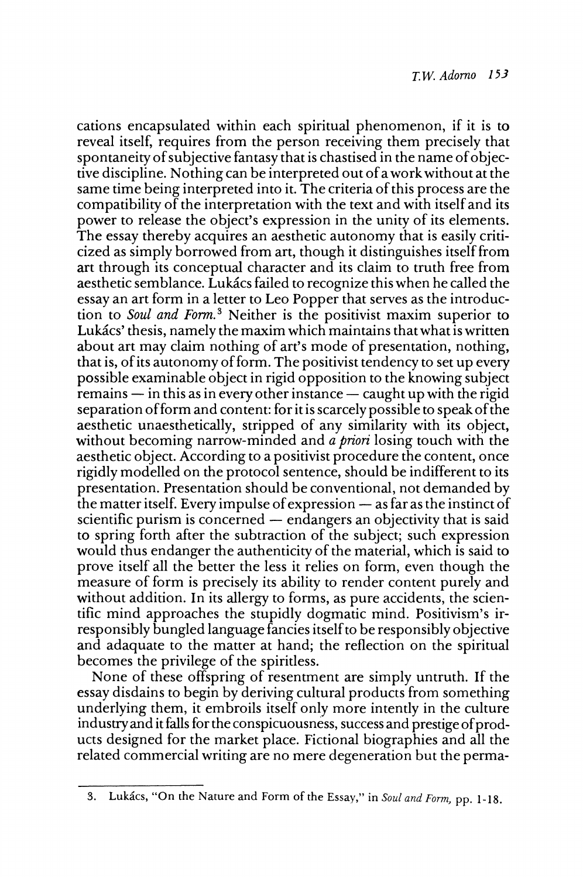cations encapsulated within each spiritual phenomenon, if it is to reveal itself, requires from the person receiving them precisely that spontaneity of subjective fantasy that is chastised in the name of objective discipline. Nothing can be interpreted out of aworkwithout at the same time being interpreted into it. The criteria of this process are the compatibility of the interpretation with the text and with itself and its power to release the object's expression in the unity of its elements. The essay thereby acquires an aesthetic autonomy that is easily criticized as simply borrowed from art, though it distinguishes itself from art through its conceptual character and its claim to truth free from aesthetic semblance. Lukács failed to recognize this when he called the essay an art form in a letter to Leo Popper that serves as the introduction to Soul and *Form.3* Neither is the positivist maxim superior to Lukács' thesis, namely the maxim which maintains that what is written about art may claim nothing of art's mode of presentation, nothing, that is, of its autonomy of form. The positivist tendency to set up every that is, of its autonomy of form. The positivist tendency to set up every<br>possible examinable object in rigid opposition to the knowing subject<br>remains — in this as in every other instance — caught up with the rigid separation of form and content: for it is scarcely possible to speak of the aesthetic unaesthetically, stripped of any similarity with its object, without becoming narrow-minded and a *priori* losing touch with the aesthetic object. According to a positivist procedure the content, once rigidly modelled on the protocol sentence, should be indifferent to its presentation. Presentation should be conventional, not demanded by Inguly inductied on the protocol sentence, should be indifferent to its<br>presentation. Presentation should be conventional, not demanded by<br>the matter itself. Every impulse of expression - as far as the instinct of presentation. Presentation should be conventional, not defilanted by<br>the matter itself. Every impulse of expression — as far as the instinct of<br>scientific purism is concerned — endangers an objectivity that is said to spring forth after the subtraction of the subject; such expression would thus endanger the authenticity of the material, which is said to prove itself all the better the less it relies on form, even though the measure of form is precisely its ability to render content purely and without addition. In its allergy to forms, as pure accidents, the scientific mind approaches the stupidly dogmatic mind. Positivism's irresponsibly bungled language fancies itself to be responsibly objective and adaquate to the matter at hand; the reflection on the spiritual becomes the privilege of the spiritless.

None of these offspring of resentment are simply untruth. If the essay disdains to begin by deriving cultural products from something underlying them, it embroils itself only more intently in the culture industry and it falls for the conspicuousness, success and prestige of products designed for the market place. Fictional biographies and all the related commercial writing are no mere degeneration but the perma-

**<sup>3.</sup>** LukPcs, "On the Nature and Form of the Essay," in Soul *and Form,* pp. **1- 18.**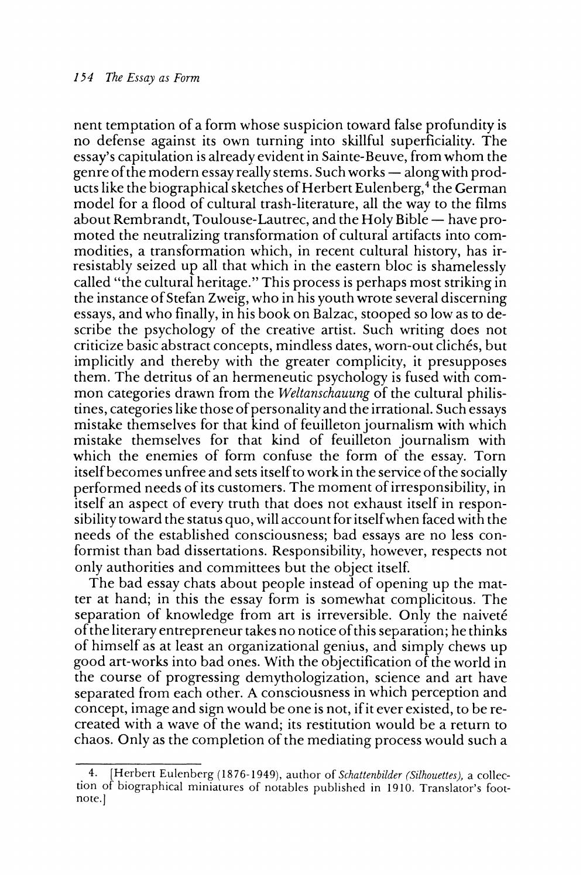nent temptation of a form whose suspicion toward false profundity is no defense against its own turning into skillful superficiality. The essay's capitulation is already evident in Sainte-Beuve, from whom the genre of the modern essay really stems. Such works  $-$  along with products like the biographical sketches of Herbert Eulenberg, $4$  the German acts like the biographical sketches of Herbert Eutchberg, the German<br>model for a flood of cultural trash-literature, all the way to the films<br>about Rembrandt, Toulouse-Lautrec, and the Holy Bible — have promoted the neutralizing transformation of cultural artifacts into commodities, a transformation which, in recent cultural history, has irresistably seized up all that which in the eastern bloc is shamelessly called "the cultural heritage." This process is perhaps most striking in the instance of Stefan Zweig, who in his youth wrote several discerning essays, and who finally, in his book on Balzac, stooped so low as to describe the psychology of the creative artist. Such writing does not criticize basic abstract concepts, mindless dates, worn-out clich6s, but implicitly and thereby with the greater complicity, it presupposes them. The detritus of an hermeneutic psychology is fused with common categories drawn from the *Weltanschauung* of the cultural philistines, categories like those of personality and the irrational. Such essays mistake themselves for that kind of feuilleton journalism with which mistake themselves for that kind of feuilleton journalism with which the enemies of form confuse the form of the essay. Torn itself becomes unfree and sets itself to work in the service of the socially performed needs of its customers. The moment of irresponsibility, in itself an aspect of every truth that does not exhaust itself in responsibility toward the status quo, will account for itselfwhen faced with the needs of the established consciousness; bad essays are no less conformist than bad dissertations. Responsibility, however, respects not only authorities and committees but the object itself.

The bad essay chats about people instead of opening up the matter at hand; in this the essay form is somewhat complicitous. The separation of knowledge from art is irreversible. Only the naiveté of the literary entrepreneur takes no notice of this separation; he thinks of himself as at least an organizational genius, and simply chews up good art-works into bad ones. With the objectification of the world in the course of progressing demythologization, science and art have separated from each other. A consciousness in which perception and concept, image and sign would be one is not, if it ever existed, to be recreated with a wave of the wand; its restitution would be a return to chaos. Only as the completion of the mediating process would such a

<sup>4. [</sup>Herbert Eulenberg (1 876- 1949), author of *Schattenbilder (Silhouettes),* a collection of biographical miniatures of notables published in 1910. Translator's footnote.]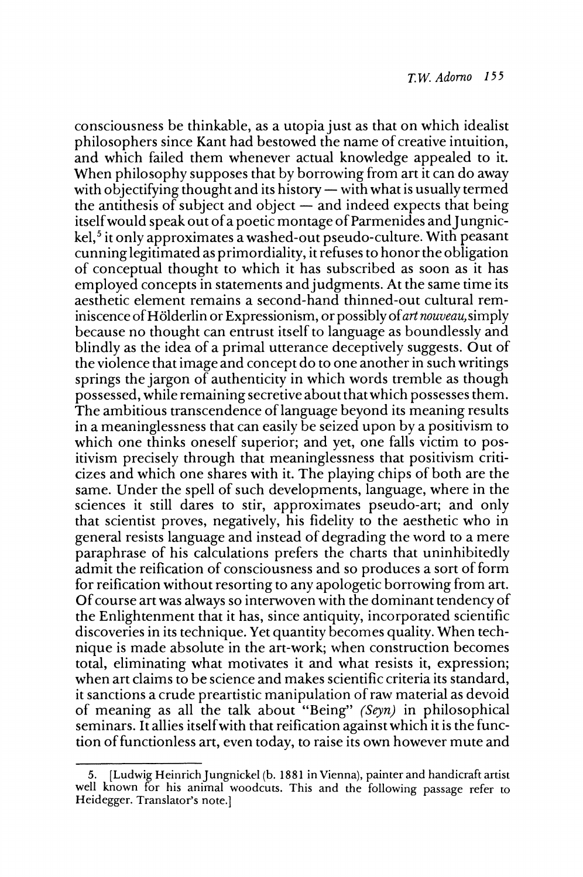consciousness be thinkable, as a utopia just as that on which idealist philosophers since Kant had bestowed the name of creative intuition, and which failed them whenever actual knowledge appealed to it. and which failed them whenever actual knowledge appealed to it.<br>When philosophy supposes that by borrowing from art it can do away<br>with objectifying thought and its history — with what is usually termed with objectifying thought and its history — with what is usually termed<br>the antithesis of subject and object — and indeed expects that being itselfwould speak out of a poetic montage of Parmenides and Jungnickel,<sup>5</sup> it only approximates a washed-out pseudo-culture. With peasant cunning legitimated as primordiality, it refuses to honor the obligation of conceptual thought to which it has subscribed as soon as it has employed concepts in statements and judgments. At the same time its aesthetic element remains a second-hand thinned-out cultural reminiscence of Hölderlin or Expressionism, or possibly of art nouveau, simply because no thought can entrust itself to language as boundlessly and blindly as the idea of a primal utterance deceptively suggests. Out of the violence that image and concept do to one another in such writings springs the jargon of authenticity in which words tremble as though possessed, while remaining secretive about that which possesses them. The ambitious transcendence of language beyond its meaning results in a meaninglessness that can easily be seized upon by a positivism to which one thinks oneself superior; and yet, one falls victim to positivism precisely through that meaninglessness that positivism criticizes and which one shares with it. The playing chips of both are the same. Under the spell of such developments, language, where in the sciences it still dares to stir, approximates pseudo-art; and only that scientist proves, negatively, his fidelity to the aesthetic who in general resists language and instead of degrading the word to a mere paraphrase of his calculations prefers the charts that uninhibitedly admit the reification of consciousness and so produces a sort of form for reification without resorting to any apologetic borrowing from art. Of course art was always so interwoven with the dominant tendency of the Enlightenment that it has, since antiquity, incorporated scientific discoveries in its technique. Yet quantity becomes quality. When technique is made absolute in the art-work; when construction becomes total, eliminating what motivates it and what resists it, expression; when art claims to be science and makes scientific criteria its standard, it sanctions a crude preartistic manipulation of raw material as devoid of meaning as all the talk about "Being" (Seyn) in philosophical seminars. It allies itselfwith that reification against which it is the function of functionless art, even today, to raise its own however mute and

**<sup>5.</sup>** [Ludwig Heinrich Jungnickel (b. 1881 in Vienna), painter and handicraft artist well known for his animal woodcuts. This and the following passage refer to Heidegger. Translator's note.]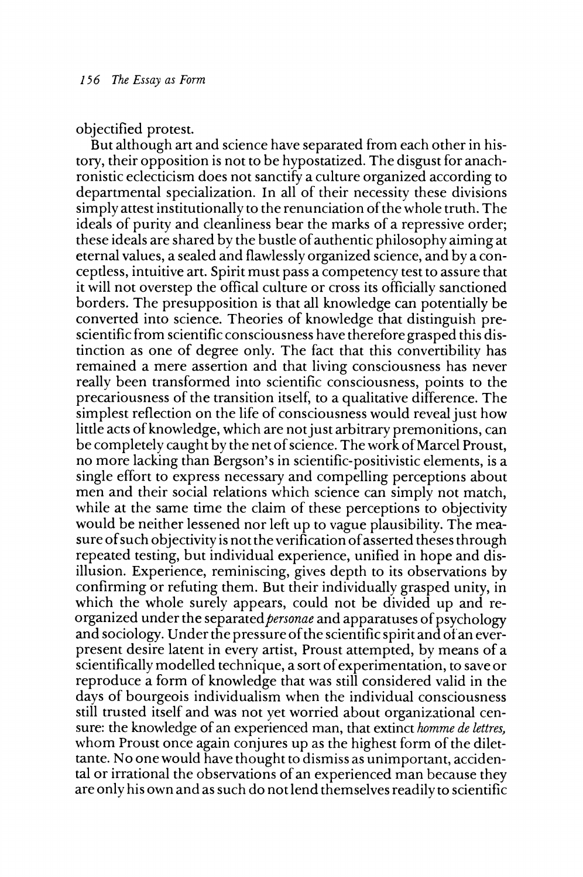objectified protest.

But although art and science have separated from each other in history, their opposition is not to be hypostatized. The disgust for anachronistic eclecticism does not sanctify a culture organized according to departmental specialization. In all of their necessity these divisions simply attest institutionally to the renunciation of the whole truth. The ideals of purity and cleanliness bear the marks of a repressive order; these ideals are shared by the bustle of authentic philosophy aiming at eternal values, a sealed and flawlessly organized science, and by a conceptless, intuitive art. Spirit must pass a competency test to assure that it will not overstep the offical culture or cross its officially sanctioned borders. The presupposition is that all knowledge can potentially be converted into science. Theories of knowledge that distinguish prescientific from scientific consciousness have therefore grasped this distinction as one of degree only. The fact that this convertibility has remained a mere assertion and that living consciousness has never really been transformed into scientific consciousness, points to the precariousness of the transition itself, to a qualitative difference. The simplest reflection on the life of consciousness would reveal just how little acts of knowledge, which are not just arbitrary premonitions, can be completely caught by the net of science. The work of Marcel Proust, no more lacking than Bergson's in scientific-positivistic elements, is a single effort to express necessary and compelling perceptions about men and their social relations which science can simply not match, while at the same time the claim of these perceptions to objectivity would be neither lessened nor left up to vague plausibility. The measure of such objectivity is not the verification of asserted theses through repeated testing, but individual experience, unified in hope and disillusion. Experience, reminiscing, gives depth to its observations by confirming or refuting them. But their individually grasped unity, in which the whole surely appears, could not be divided up and reorganized under the separated *personae* and apparatuses of psychology and sociology. Under the pressure of the scientific spirit and of'an everpresent desire latent in every artist, Proust attempted, by means of a scientifically modelled technique, a sort of experimentation, to save or reproduce a form of knowledge that was still considered valid in the days of bourgeois individualism when the individual consciousness still trusted itself and was not yet worried about organizational censure: the knowledge of an experienced man, that extinct *homme de lettres*, whom Proust once again conjures up as the highest form of the dilettante. No one would have thought to dismiss as unimportant, accidental or irrational the observations of an experienced man because they are only his own and as such do not lend themselves readily to scientific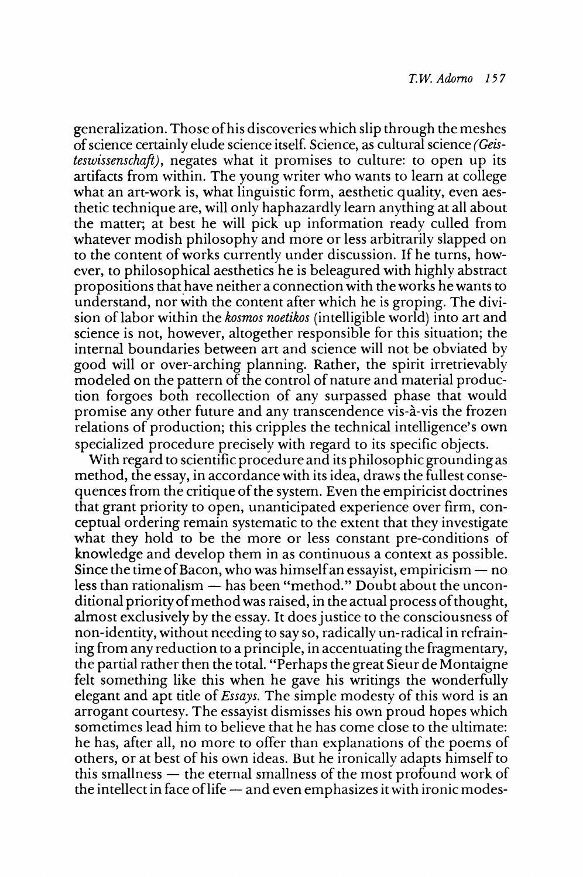generalization. Those ofhis discoveries which slip through the meshes of science certainly elude science itself. Science, as cultural science (Geis $t$ eswissenschaft), negates what it promises to culture: to open up its artifacts from within. The young writer who wants to learn at college what an art-work is, what linguistic form, aesthetic quality, even aesthetic technique are, will only haphazardly learn anything at all about the matter; at best he will pick up information ready culled from whatever modish philosophy and more or less arbitrarily slapped on to the content of works currently under discussion. If he turns, however, to philosophical aesthetics he is beleagured with highly abstract propositions that have neither a connection with the works he wants to understand, nor with the content after which he is groping. The division of labor within the *kosmos noetikos* (intelligible world) into art and science is not, however, altogether responsible for this situation; the internal boundaries between art and science will not be obviated by good will or over-arching planning. Rather, the spirit irretrievably modeled on the pattern of the control of nature and material production forgoes both recollection of any surpassed phase that would promise any other future and any transcendence vis-à-vis the frozen relations of production; this cripples the technical intelligence's own specialized procedure precisely with regard to its specific objects.

With regard to scientific procedure and its philosophic grounding as method, the essay, in accordance with its idea, draws the fullest consequences from the critique of the system. Even the empiricist doctrines that grant priority to open, unanticipated experience over firm, conceptual ordering remain systematic to the extent that they investigate what they hold to be the more or less constant pre-conditions of what they hold to be the more of less constant pre-conditions of<br>knowledge and develop them in as continuous a context as possible.<br>Since the time of Bacon, who was himself an essayist, empiricism — no Since the time of Bacon, who was himself an essayist, empiricism  $-$  no less than rationalism  $-$  has been "method." Doubt about the unconditional priority of method was raised, in the actual process of thought, almost exclusively by the essay. It does justice to the consciousness of non-identity, without needing to say so, radically un-radical in refraining from any reduction to a principle, in accentuating the fragmentary, the partial rather then the total. "Perhaps the great Sieur de Montaigne felt something like this when he gave his writings the wonderfully elegant and apt title of Essays. The simple modesty of this word is an arrogant courtesy. The essayist dismisses his own proud hopes which sometimes lead him to believe that he has come close to the ultimate: he has, after all, no more to offer than explanations of the poems of others, or at best of his own ideas. But he ironically adapts himself to the mas, after an, no more to oner than explanations of the poems of<br>others, or at best of his own ideas. But he ironically adapts himself to<br>this smallness — the eternal smallness of the most profound work of others, or at best or his own ideas. But he frontcally adapts himself to<br>this smallness — the eternal smallness of the most profound work of<br>the intellect in face of life — and even emphasizes it with ironic modes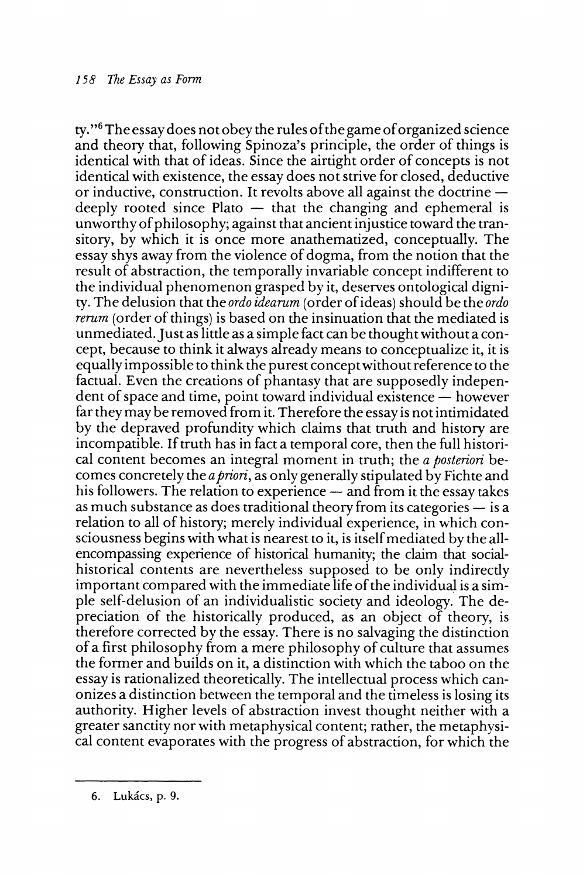ty."6Theessay does not obey the rules ofthe game of organized science and theory that, following Spinoza's principle, the order of things is identical with that of ideas. Since the airtight order of concepts is not ndentical with existence, the essay does not strive for closed, deductive<br>or inductive, construction. It revolts above all against the doctrine —<br>or inductive, construction. It revolts above all against the doctrine or inductive, construction. It revolts above all against the doctrine  $-\frac{1}{2}$  deeply rooted since Plato  $-\frac{1}{2}$  that the changing and ephemeral is unworthy of philosophy; against that ancient injustice toward the transitory, by which it is once more anathematized, conceptually. The essay shys away from the violence of dogma, from the notion that the result of abstraction, the temporally invariable concept indifferent to the individual phenomenon grasped by it, deserves ontological dignity. The delusion that the *ordo idearum* (order of ideas) should be the *ordo* rerum (order of things) is based on the insinuation that the mediated is unmediated. Just as little as a simple fact can be thought without a concept, because to think it always already means to conceptualize it, it is equally impossible to think the purest conceptwithout reference to the equally impossible to think the purest concept without reference to the<br>factual. Even the creations of phantasy that are supposedly indepen-<br>dent of space and time, point toward individual existence — however far they may be removed from it. Therefore the essay is not intimidated by the depraved profundity which claims that truth and history are incompatible. If truth has in fact a temporal core, then the full historical content becomes an integral moment in truth; the a posteriori becan coment becomes an integral moment in truth; the *a postenon* becomes concretely the *a priori*, as only generally stipulated by Fichte and his followers. The relation to experience — and from it the essay takes his followers. The relation to experience — and from it the essay takes<br>as much substance as does traditional theory from its categories — is a relation to all of history; merely individual experience, in which consciousness begins with what is nearest to it, is itself mediated by the allencompassing experience of historical humanity; the claim that socialhistorical contents are nevertheless supposed to be only indirectly important compared with the immediate life of the individual is a simple self-delusion of an individualistic society and ideology. The depreciation of the historically produced, as an object of theory, is therefore corrected by the essay. There is no salvaging the distinction of a first philosophy from a mere philosophy of culture that assumes the former and builds on it, a distinction with which the taboo on the essay is rationalized theoretically. The intellectual process which canonizes a distinction between the temporal and the timeless is losing its authority. Higher levels of abstraction invest thought neither with a greater sanctity nor with metaphysical content; rather, the metaphysical content evaporates with the progress of abstraction, for which the

*<sup>6.</sup>* **Lukics,** p. 9.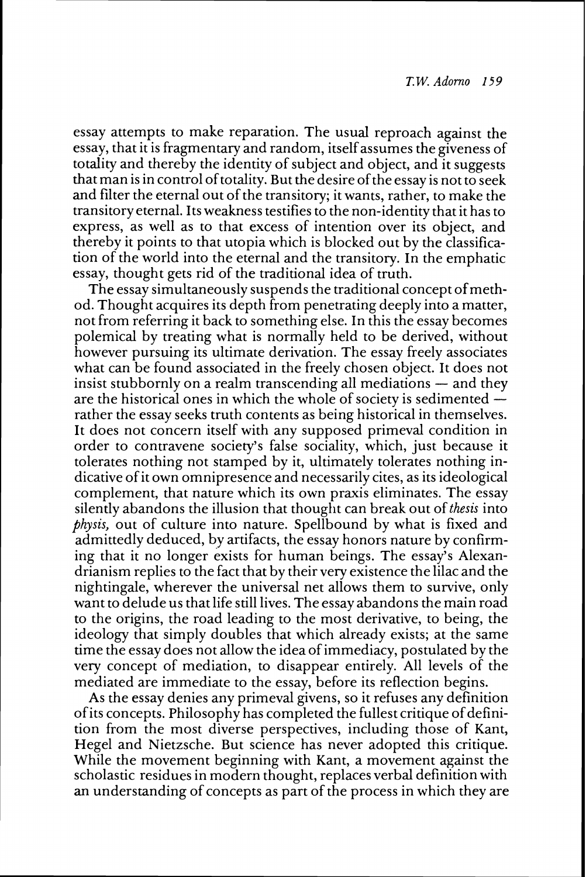essay attempts to make reparation. The usual reproach against the essay, that it is fragmentary and random, itself assumes the giveness of totality and thereby the identity of subject and object, and it suggests that man is in control of totality. But the desire ofthe essay is not to seek and filter the eternal out of the transitory; it wants, rather, to make the transitory eternal. Its weakness testifies to the non-identity that it has to express, as well as to that excess of intention over its object, and thereby it points to that utopia which is blocked out by the classification of the world into the eternal and the transitory. In the emphatic essay, thought gets rid of the traditional idea of truth.

The essay simultaneously suspends the traditional concept of method. Thought acquires its depth from penetrating deeply into a matter, not from referring it back to something else. In this the essay becomes polemical by treating what is normally held to be derived, without however pursuing its ultimate derivation. The essay freely associates mowever pursumg its unifiate derivation. The essay freely associates<br>what can be found associated in the freely chosen object. It does not<br>insist stubbornly on a realm transcending all mediations — and they insist stubbornly on a realm transcending all mediations — and they<br>are the historical ones in which the whole of society is sedimented rather the essay seeks truth contents as being historical in themselves. It does not concern itself with any supposed primeval condition in order to contravene society's false sociality, which, just because it tolerates nothing not stamped by it, ultimately tolerates nothing indicative of it own omnipresence and necessarily cites, as its ideological complement, that nature which its own praxis eliminates. The essay silently abandons the illusion that thought can break out of *thesis* into *physis,* out of culture into nature. Spellbound by what is fixed and admittedly deduced, by artifacts, the essay honors nature by confirming that it no longer exists for human beings. The essay's Alexandrianism replies to the fact that by their very existence the lilac and the nightingale, wherever the universal net allows them to survive, only want to delude us that life still lives. The essay abandons the main road to the origins, the road leading to the most derivative, to being, the ideology that simply doubles that which already exists; at the same time the essay does not allow the idea of immediacy, postulated by the very concept of mediation, to disappear entirely. All levels of the mediated are immediate to the essay, before its reflection begins.

As the essay denies any primeval givens, so it refuses any definition of its concepts. Philosophy has completed the fullest critique of definition from the most diverse perspectives, including those of Kant, Hegel and Nietzsche. But science has never adopted this critique. While the movement beginning with Kant, a movement against the scholastic residues in modern thought, replaces verbal definition with an understanding of concepts as part of the process in which they are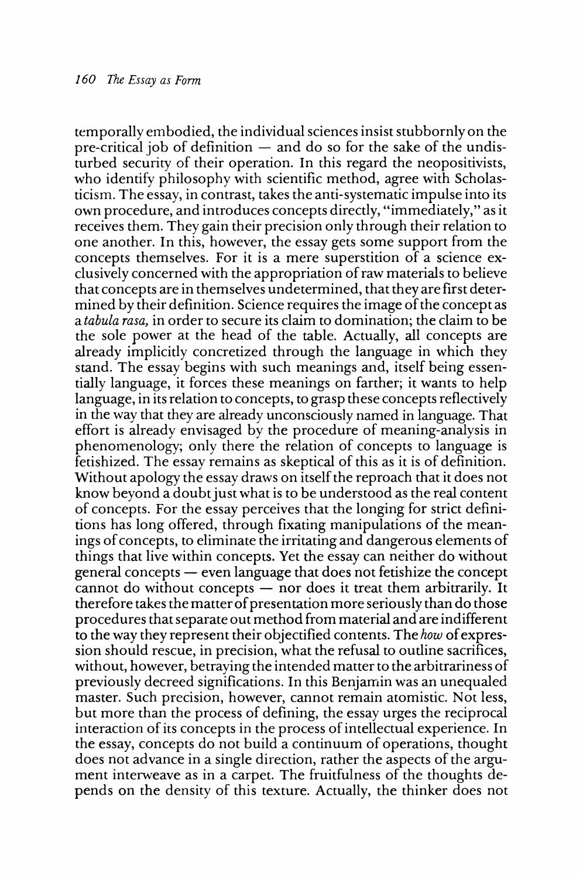temporally embodied, the individual sciences insist stubbornly on the pre-critical job of definition  $-$  and do so for the sake of the undisturbed security of their operation. In this regard the neopositivists, who identify philosophy with scientific method, agree with Scholasticism. The essay, in contrast, takes the anti-systematic impulse into its own procedure, and introduces concepts directly, "immediately," as it receives them. They gain their precision only through their relation to one another. In this, however, the essay gets some support from the concepts themselves. For it is a mere superstition of a science exclusively concerned with the appropriation of raw materials to believe that concepts are in themselves undetermined, that they are first determined by their definition. Science requires the image of the concept as atabula rasa, in order to secure its claim to domination; the claim to be the sole power at the head of the table. Actually, all concepts are already implicitly concretized through the language in which they stand. The essay begins with such meanings and, itself being essentially language, it forces these meanings on farther; it wants to help language, in its relation to concepts, to grasp these concepts reflectively in the way that they are already unconsciously named in language. That effort is already envisaged by the procedure of meaning-analysis in phenomenology; only there the relation of concepts to language is fetishized. The essay remains as skeptical of this as it is of definition. Without apology the essay draws on itself the reproach that it does not know beyond a doubt just what is to be understood as the real content of concepts. For the essay perceives that the longing for strict definitions has long offered, through fixating manipulations of the meanings of concepts, to eliminate the irritating and dangerous elements of things that live within concepts. Yet the essay can neither do without mgs of concepts, to emminate the irritating and dangerous elements of<br>things that live within concepts. Yet the essay can neither do without<br>general concepts — even language that does not fetishize the concept things that live within concepts. Yet the essay can helther do without<br>general concepts — even language that does not fetishize the concept<br>cannot do without concepts — nor does it treat them arbitrarily. It therefore takes the matter of presentation more seriously than do those procedures that separate out method from material and are indifferent to the way they represent their objectified contents. The *how* of expression should rescue, in precision, what the refusal to outline sacrifices, without, however, betraying the intended matter to the arbitrariness of previously decreed significations. In this Benjamin was an unequaled master. Such precision, however, cannot remain atomistic. Not less, but more than the process of defining, the essay urges the reciprocal interaction of its concepts in the process of intellectual experience. In the essay, concepts do not build a continuum of operations, thought does not advance in a single direction, rather the aspects of the argument interweave as in a carpet. The fruitfulness of the thoughts depends on the density of this texture. Actually, the thinker does not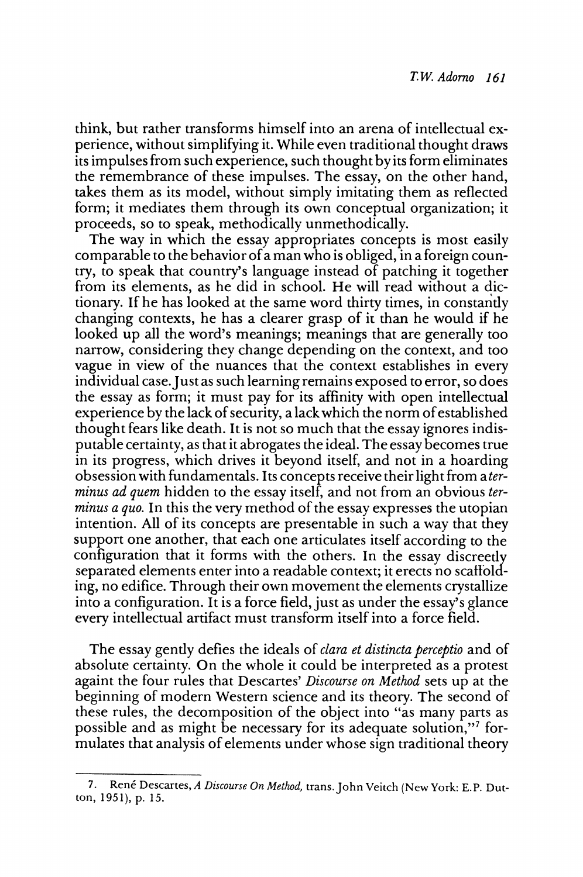think, but rather transforms himself into an arena of intellectual experience, without simplifying it. While even traditional thought draws its impulses from such experience, such thought by its form eliminates the remembrance of these impulses. The essay, on the other hand, takes them as its model, without simply imitating them as reflected form; it mediates them through its own conceptual organization; it proceeds, so to speak, methodically unmethodically.

The way in which the essay appropriates concepts is most easily comparable to the behavior of a man who is obliged, in a foreign country, to speak that country's language instead of patching it together from its elements, as he did in school. He will read without a dictionary. If he has looked at the same word thirty times, in constantly changing contexts, he has a clearer grasp of it than he would if he looked up all the word's meanings; meanings that are generally too narrow, considering they change depending on the context, and too vague in view of the nuances that the context establishes in every individual case. Just as such learning remains exposed to error, so does the essay as form; it must pay for its affinity with open intellectual experience by the lack of security, a lack which the norm of established thought fears like death. It is not so much that the essay ignores indisputable certainty, as that it abrogates the ideal. The essay becomes true in its progress, which drives it beyond itself, and not in a hoarding obsession with fundamentals. Its concepts receive their light from aterminus ad quem hidden to the essay itself, and not from an obvious terminus a quo. In this the very method of the essay expresses the utopian intention. All of its concepts are presentable in such a way that they support one another, that each one articulates itself according to the configuration that it forms with the others. In the essay discreetly separated elements enter into a readable context; it erects no scaffolding, no edifice. Through their own movement the elements crystallize into a configuration. It is a force field, just as under the essay's glance every intellectual artifact must transform itself into a force field.

The essay gently defies the ideals of *clara et distincta perceptio* and of absolute certainty. On the whole it could be interpreted as a protest againt the four rules that Descartes' *Discourse on Method* sets up at the beginning of modern Western science and its theory. The second of these rules, the decomposition of the object into "as many parts as possible and as might be necessary for its adequate solution," formulates that analysis of elements under whose sign traditional theory

**<sup>7.</sup>** Ren6 Descartes, *A* **Discourse** On *Method,* trans. John Veitch (New York: E.P. **Dut**ton, 1951), p. 15.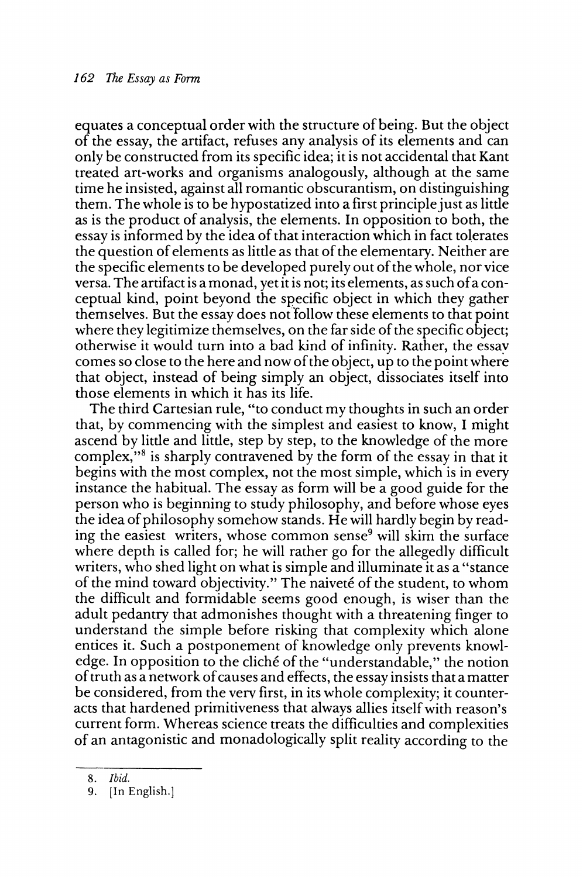equates a conceptual order with the structure of being. But the object of the essay, the artifact, refuses any analysis of its elements and can only be constructed from its specific idea; it is not accidental that Kant treated art-works and organisms analogously, although at the same time he insisted, against all romantic obscurantism, on distinguishing them. The whole is to be hypostatized into a first principle just as little as is the product of analysis, the elements. In opposition to both, the essay is informed by the idea of that interaction which in fact tolerates the question of elements as little as that of the elementary. Neither are the specific elements to be developed purely out of the whole, nor vice versa. The artifact is a monad, yet it is not; its elements, as such ofa conceptual kind, point beyond the specific object in which they gather themselves. But the essay does not 'follow these elements to that point where they legitimize themselves, on the far side of the specific object; otherwise it would turn into a bad kind of infinity. Rather, the essav comes so close to the here and now of the object, up to the point where that object, instead of being simply an object, dissociates itself into those elements in which it has its life.

The third Cartesian rule, "to conduct my thoughts in such an order that, by commencing with the simplest and easiest to know, I might ascend by little and little, step by step, to the knowledge of the more complex,"<sup>8</sup> is sharply contravened by the form of the essay in that it begins with the most complex, not the most simple, which is in every instance the habitual. The essay as form will be a good guide for the person who is beginning to study philosophy, and before whose eyes the idea of philosophy somehow stands. He will hardly begin by reading the easiest writers, whose common sense will skim the surface where depth is called for; he will rather go for the allegedly difficult writers, who shed light on what is simple and illuminate it as a "stance of the mind toward objectivity." The naiveté of the student, to whom the difficult and formidable seems good enough, is wiser than the adult pedantry that admonishes thought with a threatening finger to understand the simple before risking that complexity which alone entices it. Such a postponement of knowledge only prevents knowledge. In opposition to the cliché of the "understandable," the notion of truth as a network of causes and effects, the essay insists that a matter be considered, from the verv first, in its whole complexity; it counteracts that hardened primitiveness that always allies itself with reason's current form. Whereas science treats the difficulties and complexities of an antagonistic and monadologically split reality according to the

<sup>8.</sup> *Ibid.* 

**<sup>9.</sup>** [In English.]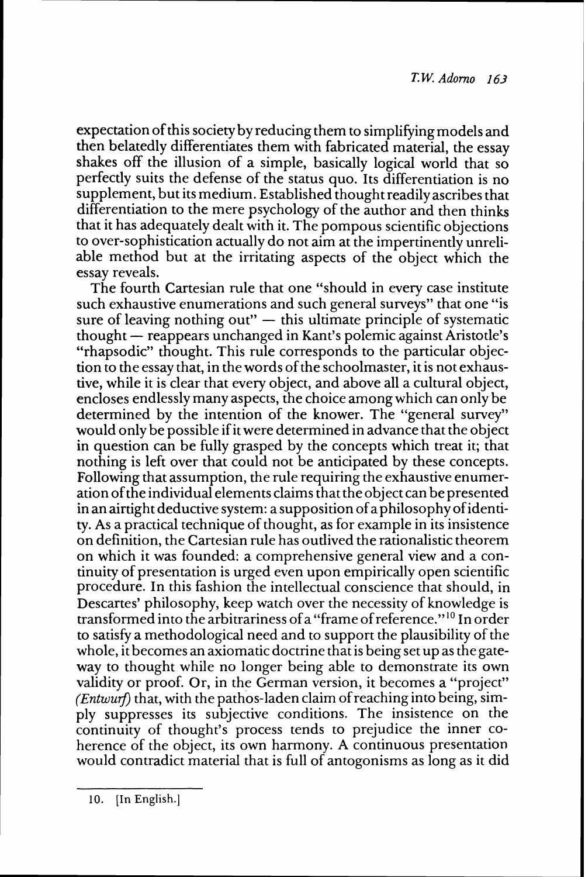expectation of this society by reducing them to simplifying models and then belatedly differentiates them with fabricated material, the essay shakes off the illusion of a simple, basically logical world that so perfectly suits the defense of the status quo. Its differentiation is no supplement, but its medium. Established thought readily ascribes that differentiation to the mere psychology of the author and then thinks that it has adequately dealt with it. The pompous scientific objections to over-sophistication actually do not aim at the impertinently unreliable method but at the irritating aspects of the object which the essay reveals.

The fourth Cartesian rule that one "should in every case institute I he fourth Cartesian rule that one "should in every case institute<br>such exhaustive enumerations and such general surveys" that one "is<br>sure of leaving nothing out" — this ultimate principle of systematic sure of leaving nothing out" — this ultimate principle of systematic<br>thought — reappears unchanged in Kant's polemic against Aristotle's "rhapsodic" thought. This rule corresponds to the particular objection to the essay that, in the words of the schoolmaster, it is not exhaustive, while it is clear that every object, and above all a cultural object, encloses endlessly many aspects, the choice among which can only be determined by the intention of the knower. The "general survey'' would only be possible if it were determined in advance that the object in question can be fully grasped by the concepts which treat it; that nothing is left over that could not be anticipated by these concepts. Following that assumption, the rule requiring the exhaustive enumeration ofthe individual elements claims that the object can be presented in an airtight deductive system: a supposition of aphilosophy of identity. As a practical technique of thought, as for example in its insistence on definition, the Cartesian rule has outlived the rationalistic theorem on which it was founded: a comprehensive general view and a continuity of presentation is urged even upon empirically open scientific procedure. In this fashion the intellectual conscience that should, in Descartes' philosophy, keep watch over the necessity of knowledge is transformed into the arbitrariness of a "frame of reference."" In order to satisfy a methodological need and to support the plausibility of the whole, it becomes an axiomatic doctrine that is being set up as the gateway to thought while no longer being able to demonstrate its own validity or proof. Or, in the German version, it becomes a "project" *(Entwurf)* that, with the pathos-laden claim of reaching into being, simply suppresses its subjective conditions. The insistence on the continuity of thought's process tends to prejudice the inner coherence of the object, its own harmony. A continuous presentation would contradict material that is full of antogonisms as long as it did

<sup>10.</sup> [In English.]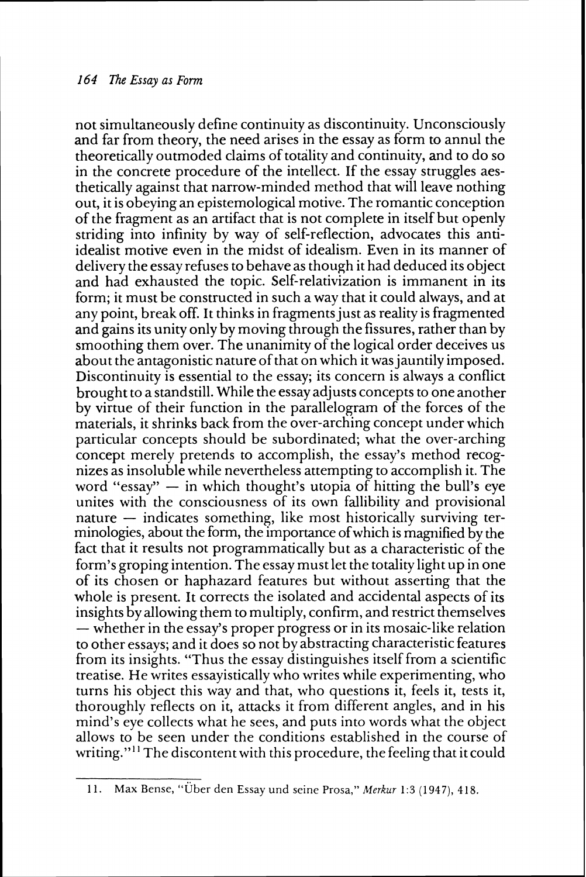not simultaneously define continuity as discontinuity. Unconsciously and far from theory, the need arises in the essay as form to annul the theoretically outmoded claims of totality and continuity, and to do so in the concrete procedure of the intellect. If the essay struggles aesthetically against that narrow-minded method that will leave nothing out, it is obeying an epistemological motive. The romantic conception of the fragment as an artifact that is not complete in itself but openly striding into infinity by way of self-reflection, advocates this antiidealist motive even in the midst of idealism. Even in its manner of delivery the essay refuses to behave as though it had deduced its object and had exhausted the topic. Self-relativization is immanent in its form; it must be constructed in such a way that it could always, and at any point, break off. It thinks in fragments just as reality is fragmented and gains its unity only by moving through the fissures, rather than by smoothing them over. The unanimity of the logical order deceives us about the antagonistic nature of that on which it was jauntily imposed. Discontinuity is essential to the essay; its concern is always a conflict brought to a standstill. While the essay adjusts concepts to one another by virtue of their function in the parallelogram of the forces of the materials, it shrinks back from the over-arching concept under which particular concepts should be subordinated; what the over-arching concept merely pretends to accomplish, the essay's method recog-Example of the new pretends to accomplish, the essay's method recognizes as insoluble while nevertheless attempting to accomplish it. The word "essay" — in which thought's utopia of hitting the bull's eye word essay — in which thought's utopia of fitting the bull's eye<br>unites with the consciousness of its own fallibility and provisional<br>nature — indicates something, like most historically surviving ter-<br>minelaging about the minologies, about the form, the importance of which is magnified by the fact that it results not programmatically but as a characteristic of the form's groping intention. The essay must let the totality light up in one of its chosen or haphazard features but without asserting that the whole is present. It corrects the isolated and accidental aspects of its whole is present. It corrects the isolated and accidental aspects of its<br>insights by allowing them to multiply, confirm, and restrict themselves<br>— whether in the essay's proper progress or in its mosaic-like relation to other essays; and it does so not by abstracting characteristic features from its insights. "Thus the essay distinguishes itself from a scientific treatise. He writes essayistically who writes while experimenting, who turns his object this way and that, who questions it, feels it, tests it, thoroughly reflects on it, attacks it from different angles, and in his mind's eye collects what he sees, and puts into words what the object allows to be seen under the conditions established in the course of writing."<sup>11</sup> The discontent with this procedure, the feeling that it could

<sup>11.</sup> Max Bense, "Cber den Essay und seine Prosa," *Aferkur* 1:3 (1947), 418.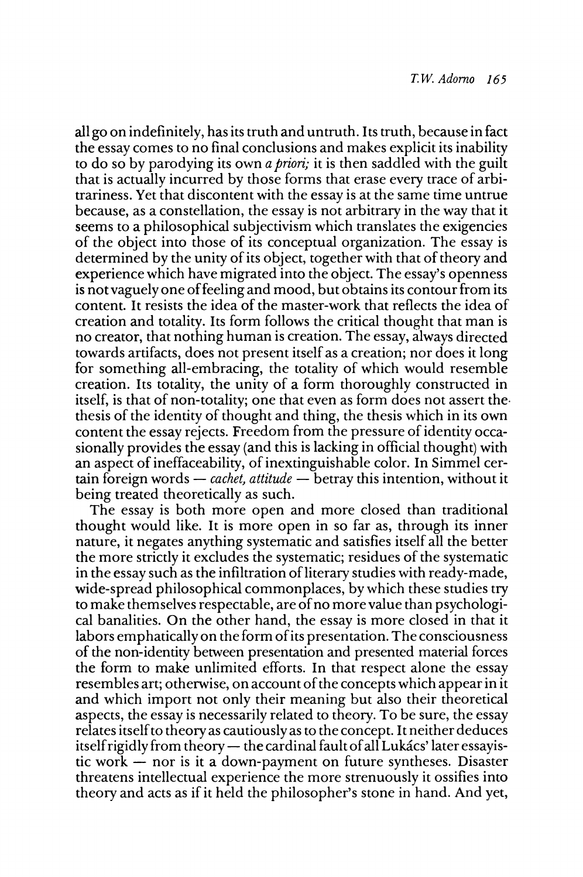all go on indefinitely, has its truth and untruth. Its truth, because in fact the essay comes to no final conclusions and makes explicit its inability to do so by parodying its own *a priori*; it is then saddled with the guilt that is actually incurred by those forms that erase every trace of arbitrariness. Yet that discontent with the essay is at the same time untrue because, as a constellation, the essay is not arbitrary in the way that it seems to a philosophical subjectivism which translates the exigencies of the object into those of its conceptual organization. The essay is determined by the unity of its object, together with that of theory and experience which have migrated into the object. The essay's openness is not vaguely one of feeling and mood, but obtains its contour from its content. It resists the idea of the master-work that reflects the idea of creation and totality. Its form follows the critical thought that man is no creator, that nothing human is creation. The essay, always directed towards artifacts, does not present itself as a creation; nor does it long for something all-embracing, the totality of which would resemble creation. Its totality, the unity of a form thoroughly constructed in itself, is that of non-totality; one that even as form does not assert the. thesis of the identity of thought and thing, the thesis which in its own content the essay rejects. Freedom from the pressure of identity occasionally provides the essay (and this is lacking in official thought) with an aspect of ineffaceability, of inextinguishable color. In Simmel cer- $\tau$ tain foreign words  $\tau$  *cachet, attitude*  $\tau$  betray this intention, without it being treated theoretically as such.

The essay is both more open and more closed than traditional thought would like. It is more open in so far as, through its inner nature, it negates anything systematic and satisfies itself all the better the more strictly it excludes the systematic; residues of the systematic in the essay such as the infiltration of literary studies with ready-made, wide-spread philosophical commonplaces, by which these studies try to make themselves respectable, are of no morevalue than psychological banalities. On the other hand, the essay is more closed in that it labors emphatically on the form of its presentation. The consciousness of the non-identity between presentation and presented material forces the form to make unlimited efforts. In that respect alone the essay resembles art; otherwise, on account of the concepts which appear in it and which import not only their meaning but also their theoretical aspects, the essay is necessarily related to theory. To be sure, the essay aspects, the essay is necessarily related to theory. To be sure, the essay<br>relates itself to theory as cautiously as to the concept. It neither deduces<br>itself rigidly from theory — the cardinal fault of all Lukács' later e itself rigidly from theory — the cardinal fault of all Lukács' later essayistic work — nor is it a down-payment on future syntheses. Disaster threatens intellectual experience the more strenuously it ossifies into theory and acts as if it held the philosopher's stone in hand. And yet,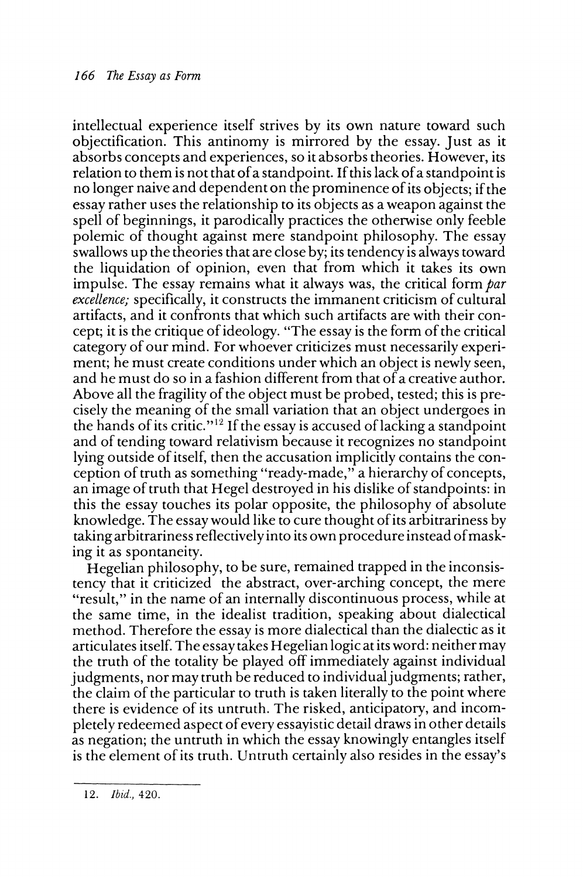intellectual experience itself strives by its own nature toward such objectification. This antinomy is mirrored by the essay. Just as it absorbs concepts and experiences, so it absorbs theories. However, its relation to them is not that of a standpoint. If this lack of a standpoint is no longer naive and dependent on the prominence of its objects; if the essay rather uses the relationship to its objects as aweapon against the spell of beginnings, it parodically practices the otherwise only feeble polemic of thought against mere standpoint philosophy. The essay swallows up the theories that are close by; its tendency is always toward the liquidation of opinion, even that from which it takes its own impulse. The essay remains what it always was, the critical form par *excellence;* specifically, it constructs the immanent criticism of cultural artifacts, and it confronts that which such artifacts are with their concept; it is the critique of ideology. "The essay is the form of the critical category of our mind. For whoever criticizes must necessarily experiment; he must create conditions under which an object is newly seen, and he must do so in a fashion different from that of a creative author. Above all the fragility of the object must be probed, tested; this is precisely the meaning of the small variation that an object undergoes in the hands of its critic."<sup>12</sup> If the essay is accused of lacking a standpoint and of tending toward relativism because it recognizes no standpoint lying outside of itself, then the accusation implicitly contains the conception of truth as something "ready-made," a hierarchy of concepts, an image of truth that Hegel destroyed in his dislike of standpoints: in this the essay touches its polar opposite, the philosophy of absolute knowledge. The essay would like to cure thought of its arbitrariness by taking arbitrariness reflectively into its own procedure instead ofmasking it as spontaneity.

Hegelian philosophy, to be sure, remained trapped in the inconsistency that it criticized the abstract, over-arching concept, the mere "result," in the name of an internally discontinuous process, while at the same time, in the idealist tradition, speaking about dialectical method. Therefore the essay is more dialectical than the dialectic as it articulates itself. The essay takes Hegelian logic at its word: neither may the truth of the totality be played off immediately against individual judgments, nor may truth be reduced to individual judgments; rather, the claim of the particular to truth is taken literally to the point where there is evidence of its untruth. The risked, anticipatory, and incompletely redeemed aspect of every essayistic detail draws in other details as negation; the untruth in which the essay knowingly entangles itself is the element of its truth. Untruth certainly also resides in the essay's

<sup>12.</sup> Ibid., 420.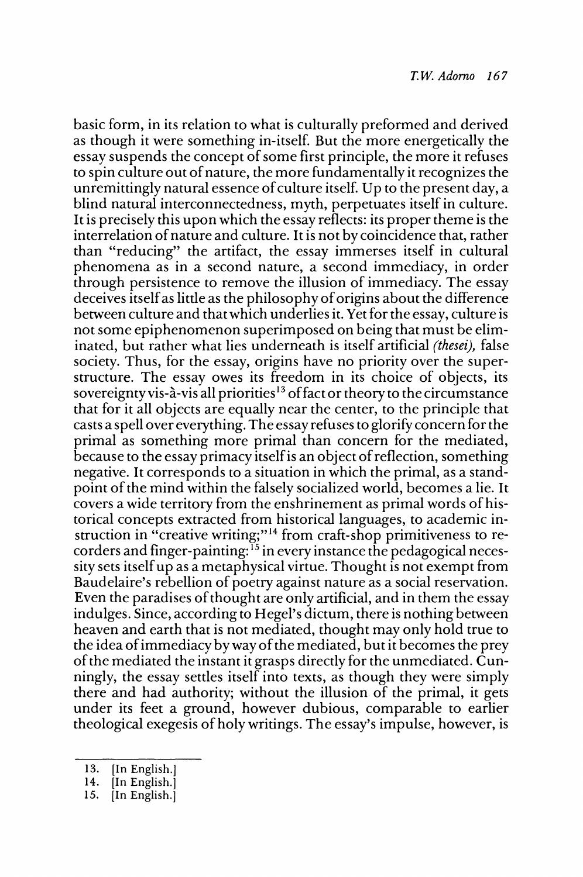basic form, in its relation to what is culturally preformed and derived as though it were something in-itself. But the more energetically the essay suspends the concept of some first principle, the more it refuses to spin culture out of nature, the more fundamentally it recognizes the unremittingly natural essence of culture itself. Up to the present day, a blind natural interconnectedness, myth, perpetuates itself in culture. It is precisely this upon which the essay reflects: its proper theme is the interrelation of nature and culture. It is not by coincidence that, rather than "reducing" the artifact, the essay immerses itself in cultural phenomena as in a second nature, a second immediacy, in order through persistence to remove the illusion of immediacy. The essay deceives itself as little as the philosophy of origins about the difference between culture and that which underlies it. Yet for the essay, culture is not some epiphenomenon superimposed on being that must be eliminated, but rather what lies underneath is itself artificial (thesei), false society. Thus, for the essay, origins have no priority over the superstructure. The essay owes its freedom in its choice of objects, its sovereignty vis-à-vis all priorities<sup>13</sup> of fact or theory to the circumstance that for it all objects are equally near the center, to the principle that casts a spell over everything. The essay refuses to glorify concern for the primal as something more primal than concern for the mediated, because to the essay primacy itself is an object of reflection, something negative. It corresponds to a situation in which the primal, as a standpoint of the mind within the falsely socialized world, becomes a lie. It covers a wide territory from the enshrinement as primal words of historical concepts extracted from historical languages, to academic instruction in "creative writing;"<sup>14</sup> from craft-shop primitiveness to recorders and finger-painting:  $^{15}$  in every instance the pedagogical necessity sets itself up as a metaphysical virtue. Thought is not exempt from Baudelaire's rebellion of poetry against nature as a social reservation. Even the paradises of thought are only artificial, and in them the essay indulges. Since, according to Hegel's dictum, there is nothing between heaven and earth that is not mediated, thought may only hold true to the idea of immediacy by way of the mediated, but it becomes the prey of the mediated the instant it grasps directly for the unmediated. Cunningly, the essay settles itself into texts, as though they were simply there and had authority; without the illusion of the primal, it gets under its feet a ground, however dubious, comparable to earlier theological exegesis of holy writings. The essay's impulse, however, is

- 13. [In English.]
- 14. [In English.]
- 15. [In English.]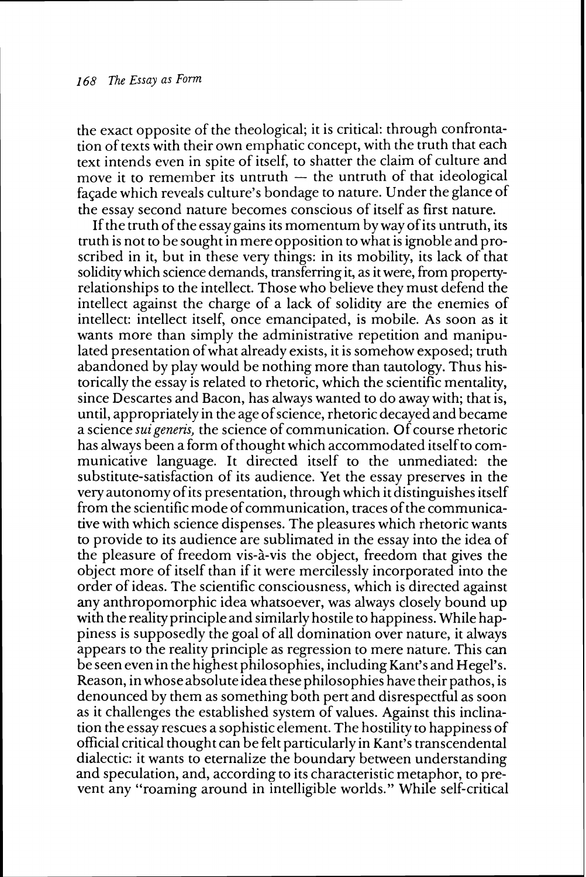the exact opposite of the theological; it is critical: through confrontation of texts with their own emphatic concept, with the truth that each text intends even in spite of itself, to shatter the claim of culture and<br>move it to remember its untruth — the untruth of that ideological<br>forely belief were been intended to price. He dance of facade which reveals culture's bondage to nature. Under the glance of the essay second nature becomes conscious of itself as first nature.

If the truth of the essay gains its momentum by way of its untruth, its truth is not to be sought in mere opposition to what is ignoble and proscribed in it, but in these very things: in its mobility, its lack of that solidity which science demands, transferring it, as it were, from propertyrelationships to the intellect. Those who believe they must defend the intellect against the charge of a lack of solidity are the enemies of intellect: intellect itself, once emancipated, is mobile. As soon as it wants more than simply the administrative repetition and manipulated presentation of what already exists, it is somehow exposed; truth abandoned by play would be nothing more than tautology. Thus historically the essay is related to rhetoric, which the scientific mentality, since Descartes and Bacon, has always wanted to do away with; that is, until, appropriately in the age of science, rhetoric decayed and became a science *suigeneris,* the science of communication. Of course rhetoric has always been a form of thought which accommodated itself to communicative language. It directed itself to the unmediated: the substitute-satisfaction of its audience. Yet the essay preserves in the very autonomy of its presentation, through which it distinguishes itself from the scientific mode of communication, traces of the communicative with which science dispenses. The pleasures which rhetoric wants to provide to its audience are sublimated in the essay into the idea of the pleasure of freedom vis-A-vis the object, freedom that gives the object more of itself than if it were mercilessly incorporated into the order of ideas. The scientific consciousness, which is directed against any anthropomorphic idea whatsoever, was always closely bound up with the reality principle and similarly hostile to happiness. While happiness is supposedly the goal of all domination over nature, it always appears to the reality principle as regression to mere nature. This can be seen even in the highest philosophies, including Kant's and Hegel's. Reason, in whoseabsolute idea these philosophies have their pathos, is denounced by them as something both pert and disrespectful as soon as it challenges the established system of values. Against this inclination the essay rescues a sophistic element. The hostility to happiness of official critical thought can be felt particularly in Kant's transcendental dialectic: it wants to eternalize the boundary between understanding and speculation, and, according to its characteristic metaphor, to prevent any "roaming around in intelligible worlds." While self-critical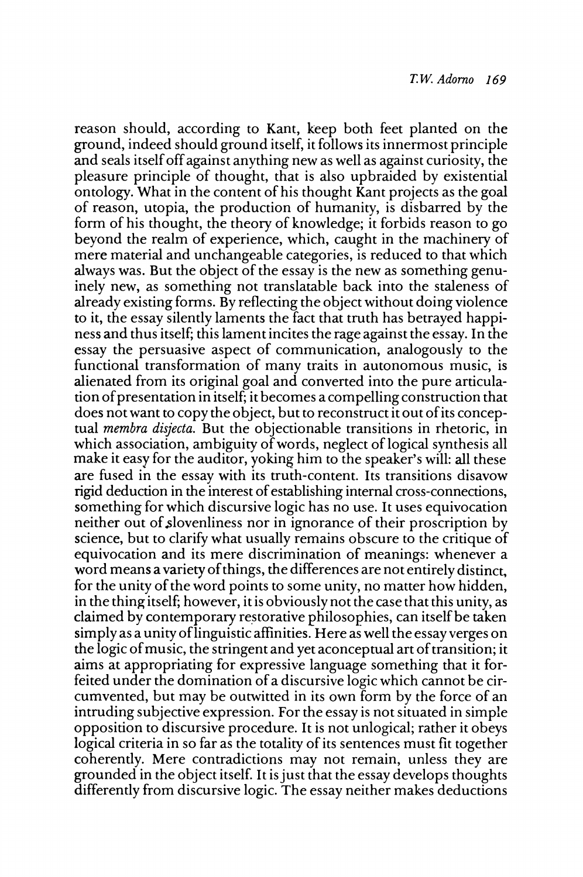reason should, according to Kant, keep both feet planted on the ground, indeed should ground itself, it follows its innermost principle and seals itself off against anything new as well as against curiosity, the pleasure principle of thought, that is also upbraided by existential ontology. What in the content of his thought Kant projects as the goal of reason, utopia, the production of humanity, is disbarred by the form of his thought, the theory of knowledge; it forbids reason to go beyond the realm of experience, which, caught in the machinery of mere material and unchangeable categories, is reduced to that which always was. But the object of the essay is the new as something genuinely new, as something not translatable back into the staleness of already existing forms. By reflecting the object without doing violence to it, the essay silently laments the fact that truth has betrayed happiness and thus itself; this lament incites the rage against the essay. In the essay the persuasive aspect of communication, analogously to the functional transformation of many traits in autonomous music, is alienated from its original goal and converted into the pure articulation of presentation in itself; it becomes a compelling construction that does not want to copy the object, but to reconstruct it out of its conceptual *membra disjecta.* But the objectionable transitions in rhetoric, in which association, ambiguity of words, neglect of logical synthesis all make it easy for the auditor, yoking him to the speaker's will: all these are fused in the essay with its truth-content. Its transitions disavow rigid deduction in the interest of establishing internal cross-connections, something for which discursive logic has no use. It uses equivocation neither out of slovenliness nor in ignorance of their proscription by science, but to clarify what usually remains obscure to the critique of equivocation and its mere discrimination of meanings: whenever a word means avariety of things, the differences are not entirely distinct, for the unity of the word points to some unity, no matter how hidden, in the thing itself; however, it is obviously not the case that this unity, as claimed by contemporary restorative philosophies, can itself be taken simply as a unity of linguistic affinities. Here as well the essay verges on the logic of music, the stringent and yet aconceptual art of transition; it aims at appropriating for expressive language something that it forfeited under the domination of a discursive logic which cannot be circumvented, but may be outwitted in its own form by the force of an intruding subjective expression. For the essay is not situated in simple opposition to discursive procedure. It is not unlogical; rather it obeys logical criteria in so far as the totality of its sentences must fit together coherently. Mere contradictions may not remain, unless they are grounded in the object itself. It is just that the essay develops thoughts differently from discursive logic. The essay neither makes deductions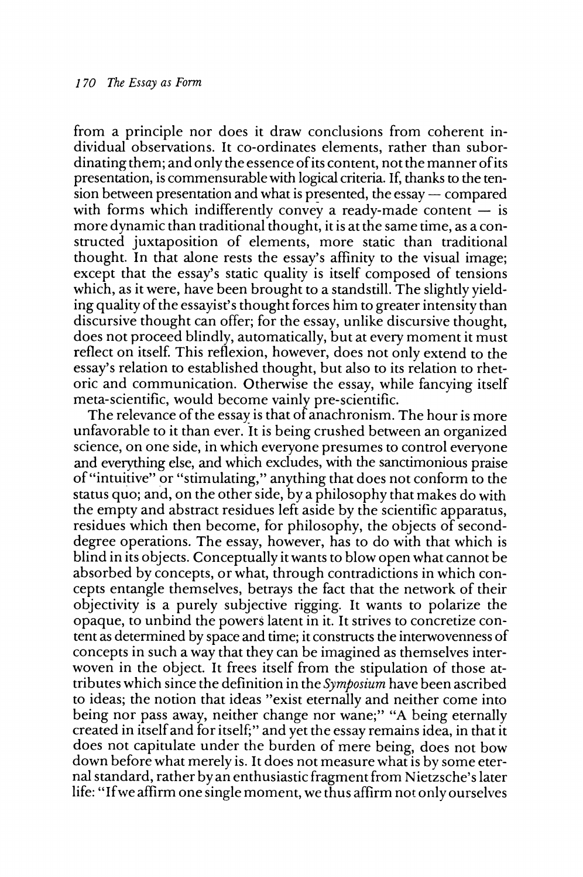from a principle nor does it draw conclusions from coherent individual observations. It co-ordinates elements, rather than subordinating them; and only the essence ofits content, not the manner ofits amating them, and only the essence of its content, not the mail ier of its<br>presentation, is commensurable with logical criteria. If, thanks to the ten-<br>sion between presentation and what is presented, the essay — compared sion between presentation and what is presented, the essay  $-$  compared with forms which indifferently convey a ready-made content  $-$  is more dynamic than traditional thought, it is at the same time, as a constructed juxtaposition of elements, more static than traditional thought. In that alone rests the essay's affinity to the visual image; except that the essay's static quality is itself composed of tensions which, as it were, have been brought to a standstill. The slightly yielding quality of the essayist's thought forces him to greater intensity than discursive thought can offer; for the essay, unlike discursive thought, does not proceed blindly, automatically, but at every moment it must reflect on itself. This reflexion, however, does not only extend to the essay's relation to established thought, but also to its relation to rhetoric and communication. Otherwise the essay, while fancying itself meta-scientific, would become vainly pre-scientific.

The relevance of the essay is that of anachronism. The hour is more unfavorable to it than ever. it is being crushed between an organized science, on one side, in which everyone presumes to control everyone and everything else, and which excludes, with the sanctimonious praise of "intuitive" or "stimulating," anything that does not conform to the status quo; and, on the other side, by a philosophy that makes do with the empty and abstract residues left aside by the scientific apparatus, residues which then become, for philosophy, the objects of seconddegree operations. The essay, however, has to do with that which is blind in its objects. Conceptually it wants to blow open what cannot be absorbed by concepts, or what, through contradictions in which concepts entangle themselves, betrays the fact that the network of their objectivity is a purely subjective rigging. It wants to polarize the opaque, to unbind the powers latent in it. It strives to concretize content as determined by space and time; it constructs the interwovenness of concepts in such a way that they can be imagined as themselves interwoven in the object. It frees itself from the stipulation of those attributes which since the definition in the *Symposium* have been ascribed to ideas; the notion that ideas "exist eternally and neither come into being nor pass away, neither change nor wane;" "A being eternally created in itself and for itself;" and yet the essay remains idea, in that it does not capitulate under the burden of mere being, does not bow down before what merely is. It does not measure what is by some eternal standard, rather by an enthusiastic fragment from Nietzsche's later life: "Ifwe affirm one single moment, we thus affirm not only ourselves